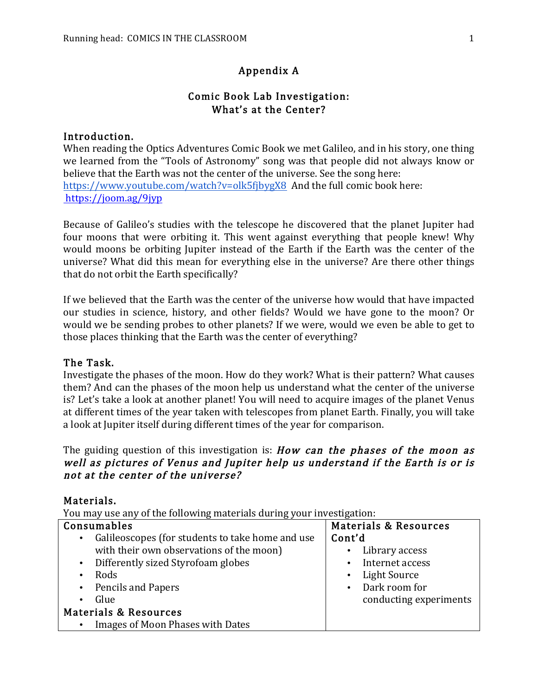## Appendix A

#### Comic Book Lab Investigation: What's at the Center?

#### Introduction.

When reading the Optics Adventures Comic Book we met Galileo, and in his story, one thing we learned from the "Tools of Astronomy" song was that people did not always know or believe that the Earth was not the center of the universe. See the song here: https://www.youtube.com/watch?v=olk5fibygX8 And the full comic book here: https://joom.ag/9jyp

Because of Galileo's studies with the telescope he discovered that the planet Jupiter had four moons that were orbiting it. This went against everything that people knew! Why would moons be orbiting Jupiter instead of the Earth if the Earth was the center of the universe? What did this mean for everything else in the universe? Are there other things that do not orbit the Earth specifically?

If we believed that the Earth was the center of the universe how would that have impacted our studies in science, history, and other fields? Would we have gone to the moon? Or would we be sending probes to other planets? If we were, would we even be able to get to those places thinking that the Earth was the center of everything?

#### The Task.

Investigate the phases of the moon. How do they work? What is their pattern? What causes them? And can the phases of the moon help us understand what the center of the universe is? Let's take a look at another planet! You will need to acquire images of the planet Venus at different times of the year taken with telescopes from planet Earth. Finally, you will take a look at Jupiter itself during different times of the year for comparison.

#### The guiding question of this investigation is: **How** can the phases of the moon as well as pictures of Venus and Jupiter help us understand if the Earth is or is not at the center of the universe?

#### Materials.

You may use any of the following materials during your investigation:

| Consumables                                                   | <b>Materials &amp; Resources</b> |  |
|---------------------------------------------------------------|----------------------------------|--|
| Galileoscopes (for students to take home and use<br>$\bullet$ | Cont'd                           |  |
| with their own observations of the moon)                      | Library access                   |  |
| Differently sized Styrofoam globes<br>$\bullet$               | Internet access<br>$\bullet$     |  |
| Rods<br>$\bullet$                                             | Light Source                     |  |
| <b>Pencils and Papers</b><br>$\bullet$                        | • Dark room for                  |  |
| Glue<br>$\bullet$                                             | conducting experiments           |  |
| <b>Materials &amp; Resources</b>                              |                                  |  |
| Images of Moon Phases with Dates<br>$\bullet$                 |                                  |  |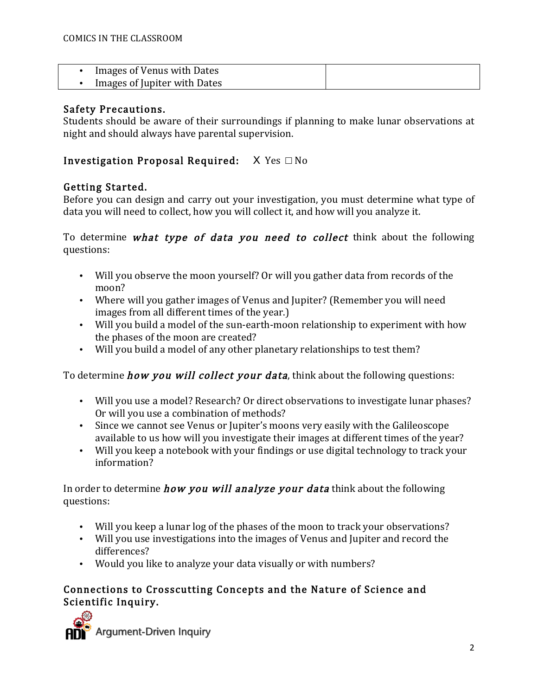| Images of Venus with Dates   |  |
|------------------------------|--|
| Images of Jupiter with Dates |  |

#### Safety Precautions.

Students should be aware of their surroundings if planning to make lunar observations at night and should always have parental supervision.

## Investigation Proposal Required:  $X$  Yes  $\Box$  No

## Getting Started.

Before you can design and carry out your investigation, you must determine what type of data you will need to collect, how you will collect it, and how will you analyze it.

To determine what type of data you need to collect think about the following questions:

- Will you observe the moon yourself? Or will you gather data from records of the moon?
- Where will you gather images of Venus and Jupiter? (Remember you will need images from all different times of the year.)
- Will you build a model of the sun-earth-moon relationship to experiment with how the phases of the moon are created?
- Will you build a model of any other planetary relationships to test them?

To determine *how you will collect your data*, think about the following questions:

- Will you use a model? Research? Or direct observations to investigate lunar phases? Or will you use a combination of methods?
- Since we cannot see Venus or Jupiter's moons very easily with the Galileoscope available to us how will you investigate their images at different times of the year?
- Will you keep a notebook with your findings or use digital technology to track your information?

In order to determine *how you will analyze your data* think about the following questions:

- Will you keep a lunar log of the phases of the moon to track your observations?
- Will you use investigations into the images of Venus and Jupiter and record the differences?
- Would you like to analyze your data visually or with numbers?

## Connections to Crosscutting Concepts and the Nature of Science and Scientific Inquiry.

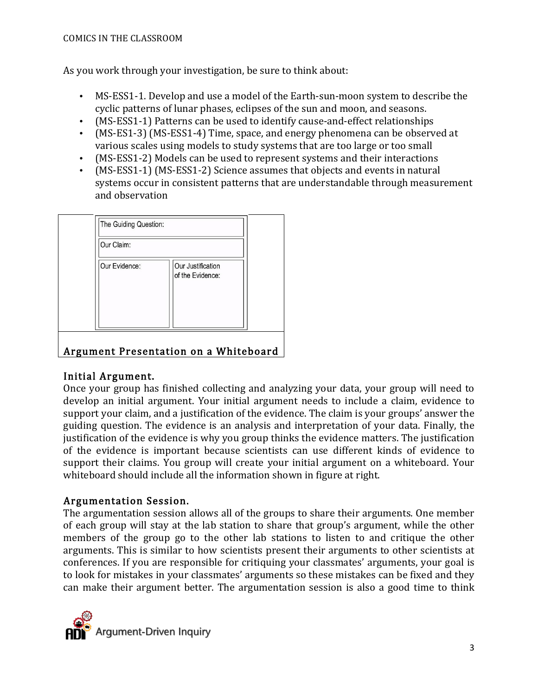As you work through your investigation, be sure to think about:

- MS-ESS1-1. Develop and use a model of the Earth-sun-moon system to describe the cyclic patterns of lunar phases, eclipses of the sun and moon, and seasons.
- (MS-ESS1-1) Patterns can be used to identify cause-and-effect relationships
- (MS-ES1-3) (MS-ESS1-4) Time, space, and energy phenomena can be observed at various scales using models to study systems that are too large or too small
- (MS-ESS1-2) Models can be used to represent systems and their interactions
- (MS-ESS1-1) (MS-ESS1-2) Science assumes that objects and events in natural systems occur in consistent patterns that are understandable through measurement and observation

|                                       | The Guiding Question: |                                       |  |  |  |
|---------------------------------------|-----------------------|---------------------------------------|--|--|--|
|                                       | Our Claim:            |                                       |  |  |  |
|                                       | Our Evidence:         | Our Justification<br>of the Evidence: |  |  |  |
| Argument Presentation on a Whiteboard |                       |                                       |  |  |  |

## Initial Argument.

Once your group has finished collecting and analyzing your data, your group will need to develop an initial argument. Your initial argument needs to include a claim, evidence to support your claim, and a justification of the evidence. The claim is your groups' answer the guiding question. The evidence is an analysis and interpretation of your data. Finally, the justification of the evidence is why you group thinks the evidence matters. The justification of the evidence is important because scientists can use different kinds of evidence to support their claims. You group will create your initial argument on a whiteboard. Your whiteboard should include all the information shown in figure at right.

# Argumentation Session.

The argumentation session allows all of the groups to share their arguments. One member of each group will stay at the lab station to share that group's argument, while the other members of the group go to the other lab stations to listen to and critique the other arguments. This is similar to how scientists present their arguments to other scientists at conferences. If you are responsible for critiquing your classmates' arguments, your goal is to look for mistakes in your classmates' arguments so these mistakes can be fixed and they can make their argument better. The argumentation session is also a good time to think